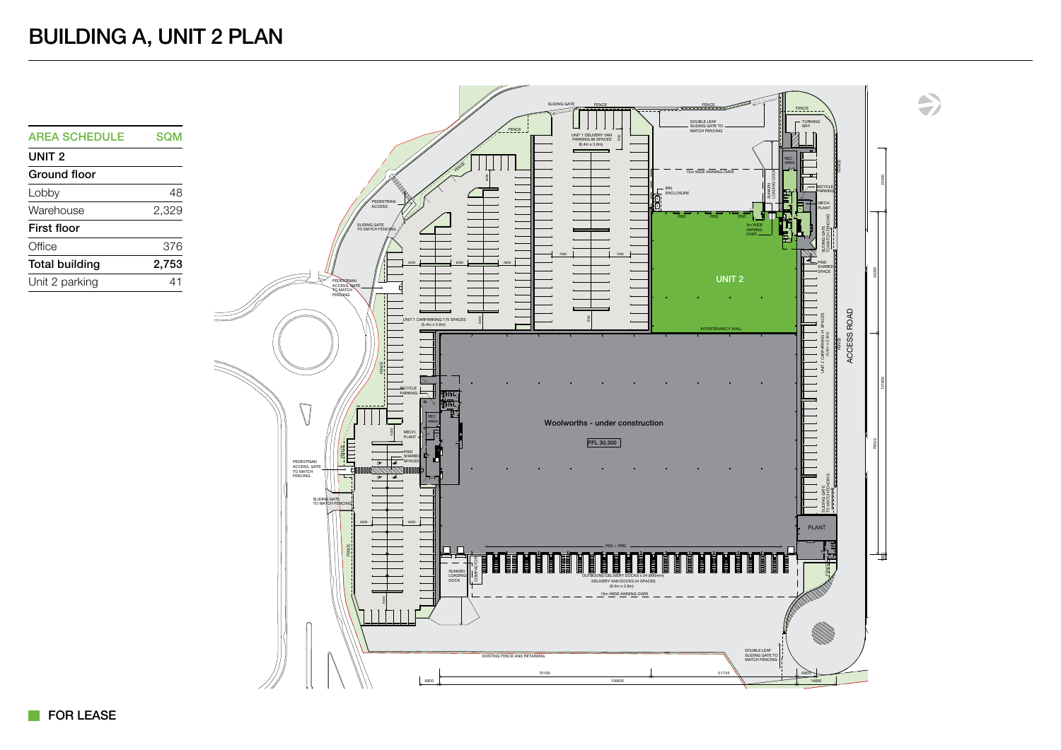UNIT 2 Ground floor

First floor

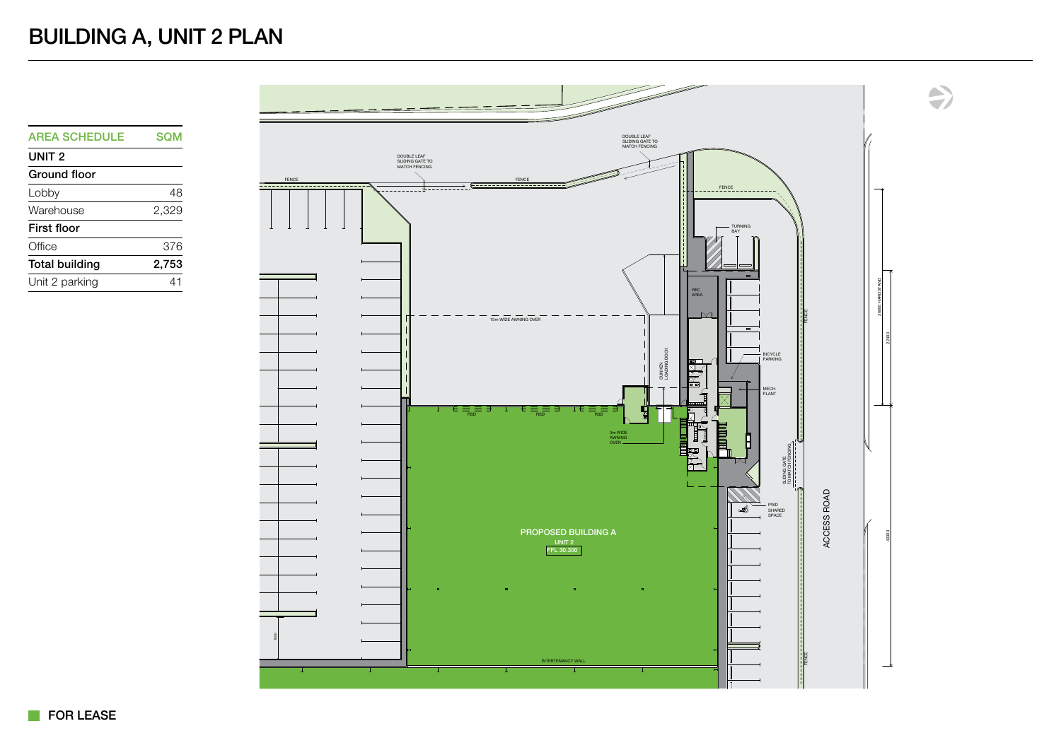## BUILDING A, UNIT 2 PLAN